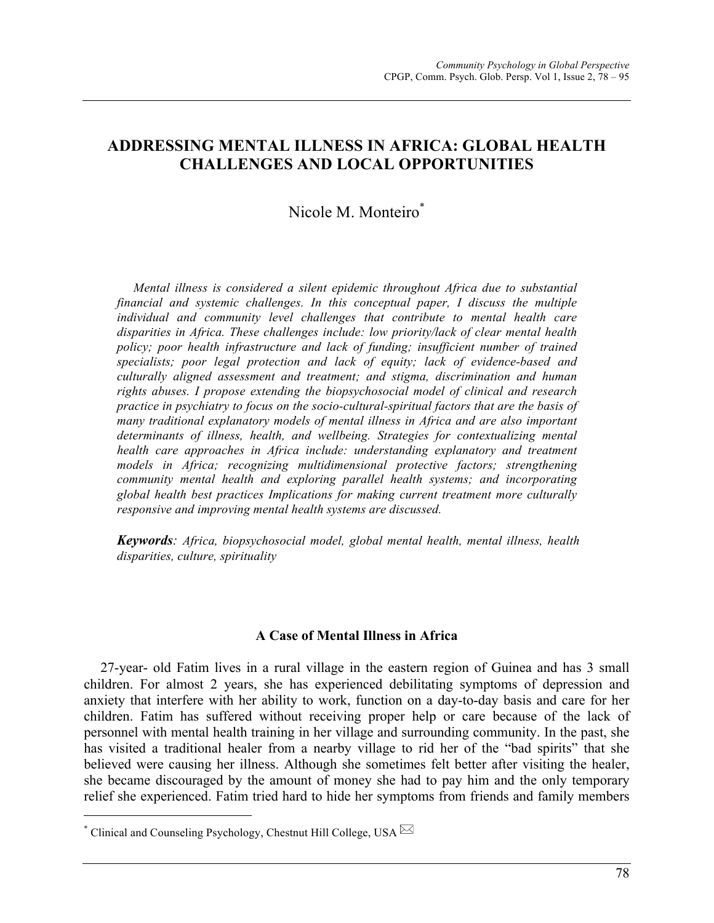# **ADDRESSING MENTAL ILLNESS IN AFRICA: GLOBAL HEALTH CHALLENGES AND LOCAL OPPORTUNITIES**

# Nicole M. Monteiro\*

*Mental illness is considered a silent epidemic throughout Africa due to substantial financial and systemic challenges. In this conceptual paper, I discuss the multiple individual and community level challenges that contribute to mental health care disparities in Africa. These challenges include: low priority/lack of clear mental health policy; poor health infrastructure and lack of funding; insufficient number of trained specialists; poor legal protection and lack of equity; lack of evidence-based and culturally aligned assessment and treatment; and stigma, discrimination and human rights abuses. I propose extending the biopsychosocial model of clinical and research practice in psychiatry to focus on the socio-cultural-spiritual factors that are the basis of many traditional explanatory models of mental illness in Africa and are also important determinants of illness, health, and wellbeing. Strategies for contextualizing mental health care approaches in Africa include: understanding explanatory and treatment models in Africa; recognizing multidimensional protective factors; strengthening community mental health and exploring parallel health systems; and incorporating global health best practices Implications for making current treatment more culturally responsive and improving mental health systems are discussed.*

*Keywords: Africa, biopsychosocial model, global mental health, mental illness, health disparities, culture, spirituality*

### **A Case of Mental Illness in Africa**

27-year- old Fatim lives in a rural village in the eastern region of Guinea and has 3 small children. For almost 2 years, she has experienced debilitating symptoms of depression and anxiety that interfere with her ability to work, function on a day-to-day basis and care for her children. Fatim has suffered without receiving proper help or care because of the lack of personnel with mental health training in her village and surrounding community. In the past, she has visited a traditional healer from a nearby village to rid her of the "bad spirits" that she believed were causing her illness. Although she sometimes felt better after visiting the healer, she became discouraged by the amount of money she had to pay him and the only temporary relief she experienced. Fatim tried hard to hide her symptoms from friends and family members

 

 $^*$  Clinical and Counseling Psychology, Chestnut Hill College, USA  $\boxtimes$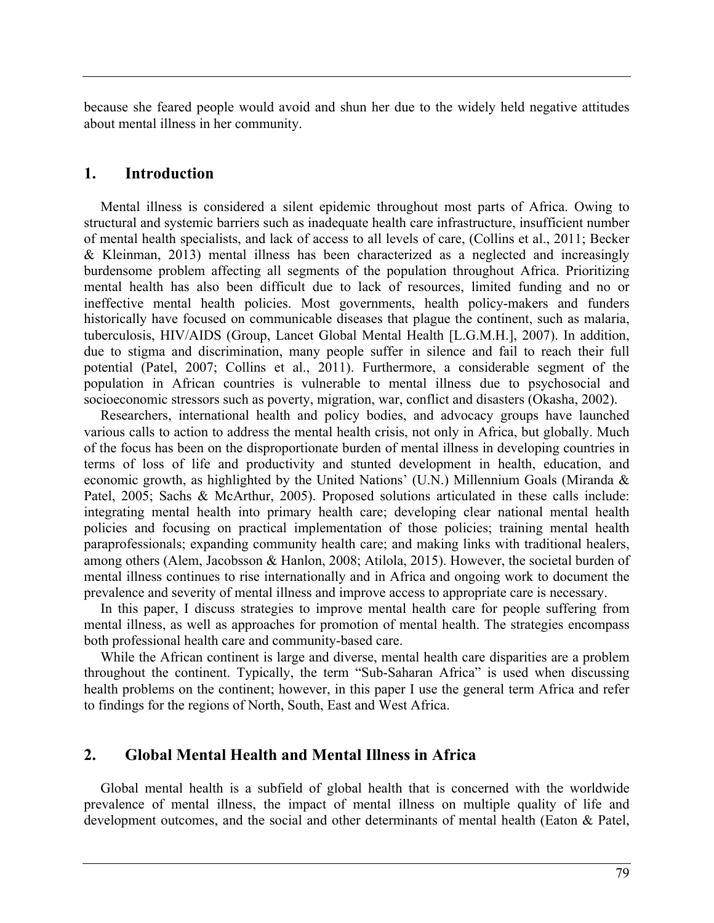because she feared people would avoid and shun her due to the widely held negative attitudes about mental illness in her community.

## **1. Introduction**

Mental illness is considered a silent epidemic throughout most parts of Africa. Owing to structural and systemic barriers such as inadequate health care infrastructure, insufficient number of mental health specialists, and lack of access to all levels of care, (Collins et al., 2011; Becker & Kleinman, 2013) mental illness has been characterized as a neglected and increasingly burdensome problem affecting all segments of the population throughout Africa. Prioritizing mental health has also been difficult due to lack of resources, limited funding and no or ineffective mental health policies. Most governments, health policy-makers and funders historically have focused on communicable diseases that plague the continent, such as malaria, tuberculosis, HIV/AIDS (Group, Lancet Global Mental Health [L.G.M.H.], 2007). In addition, due to stigma and discrimination, many people suffer in silence and fail to reach their full potential (Patel, 2007; Collins et al., 2011). Furthermore, a considerable segment of the population in African countries is vulnerable to mental illness due to psychosocial and socioeconomic stressors such as poverty, migration, war, conflict and disasters (Okasha, 2002).

Researchers, international health and policy bodies, and advocacy groups have launched various calls to action to address the mental health crisis, not only in Africa, but globally. Much of the focus has been on the disproportionate burden of mental illness in developing countries in terms of loss of life and productivity and stunted development in health, education, and economic growth, as highlighted by the United Nations' (U.N.) Millennium Goals (Miranda & Patel, 2005; Sachs & McArthur, 2005). Proposed solutions articulated in these calls include: integrating mental health into primary health care; developing clear national mental health policies and focusing on practical implementation of those policies; training mental health paraprofessionals; expanding community health care; and making links with traditional healers, among others (Alem, Jacobsson & Hanlon, 2008; Atilola, 2015). However, the societal burden of mental illness continues to rise internationally and in Africa and ongoing work to document the prevalence and severity of mental illness and improve access to appropriate care is necessary.

In this paper, I discuss strategies to improve mental health care for people suffering from mental illness, as well as approaches for promotion of mental health. The strategies encompass both professional health care and community-based care.

While the African continent is large and diverse, mental health care disparities are a problem throughout the continent. Typically, the term "Sub-Saharan Africa" is used when discussing health problems on the continent; however, in this paper I use the general term Africa and refer to findings for the regions of North, South, East and West Africa.

# **2. Global Mental Health and Mental Illness in Africa**

Global mental health is a subfield of global health that is concerned with the worldwide prevalence of mental illness, the impact of mental illness on multiple quality of life and development outcomes, and the social and other determinants of mental health (Eaton & Patel,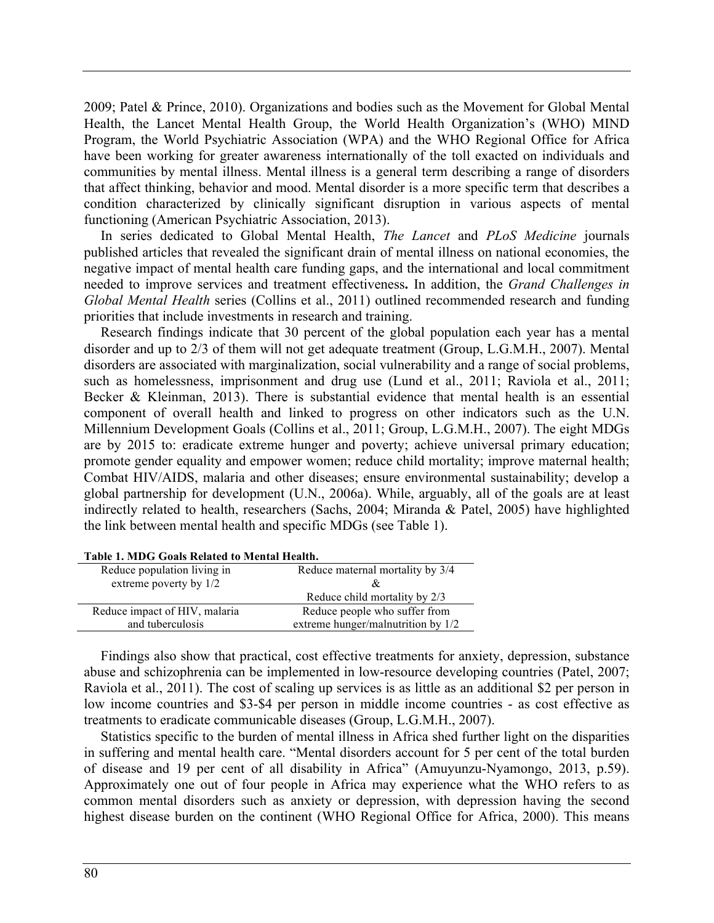2009; Patel & Prince, 2010). Organizations and bodies such as the Movement for Global Mental Health, the Lancet Mental Health Group, the World Health Organization's (WHO) MIND Program, the World Psychiatric Association (WPA) and the WHO Regional Office for Africa have been working for greater awareness internationally of the toll exacted on individuals and communities by mental illness. Mental illness is a general term describing a range of disorders that affect thinking, behavior and mood. Mental disorder is a more specific term that describes a condition characterized by clinically significant disruption in various aspects of mental functioning (American Psychiatric Association, 2013).

In series dedicated to Global Mental Health, *The Lancet* and *PLoS Medicine* journals published articles that revealed the significant drain of mental illness on national economies, the negative impact of mental health care funding gaps, and the international and local commitment needed to improve services and treatment effectiveness**.** In addition, the *Grand Challenges in Global Mental Health* series (Collins et al., 2011) outlined recommended research and funding priorities that include investments in research and training.

Research findings indicate that 30 percent of the global population each year has a mental disorder and up to 2/3 of them will not get adequate treatment (Group, L.G.M.H., 2007). Mental disorders are associated with marginalization, social vulnerability and a range of social problems, such as homelessness, imprisonment and drug use (Lund et al., 2011; Raviola et al., 2011; Becker & Kleinman, 2013). There is substantial evidence that mental health is an essential component of overall health and linked to progress on other indicators such as the U.N. Millennium Development Goals (Collins et al., 2011; Group, L.G.M.H., 2007). The eight MDGs are by 2015 to: eradicate extreme hunger and poverty; achieve universal primary education; promote gender equality and empower women; reduce child mortality; improve maternal health; Combat HIV/AIDS, malaria and other diseases; ensure environmental sustainability; develop a global partnership for development (U.N., 2006a). While, arguably, all of the goals are at least indirectly related to health, researchers (Sachs, 2004; Miranda & Patel, 2005) have highlighted the link between mental health and specific MDGs (see Table 1).

| Reduce population living in   | Reduce maternal mortality by 3/4   |  |
|-------------------------------|------------------------------------|--|
| extreme poverty by 1/2        | &                                  |  |
|                               | Reduce child mortality by 2/3      |  |
| Reduce impact of HIV, malaria | Reduce people who suffer from      |  |
| and tuberculosis              | extreme hunger/malnutrition by 1/2 |  |
|                               |                                    |  |

| Table 1. MDG Goals Related to Mental Health. |  |
|----------------------------------------------|--|
|----------------------------------------------|--|

Findings also show that practical, cost effective treatments for anxiety, depression, substance abuse and schizophrenia can be implemented in low-resource developing countries (Patel, 2007; Raviola et al., 2011). The cost of scaling up services is as little as an additional \$2 per person in low income countries and \$3-\$4 per person in middle income countries - as cost effective as treatments to eradicate communicable diseases (Group, L.G.M.H., 2007).

Statistics specific to the burden of mental illness in Africa shed further light on the disparities in suffering and mental health care. "Mental disorders account for 5 per cent of the total burden of disease and 19 per cent of all disability in Africa" (Amuyunzu-Nyamongo, 2013, p.59). Approximately one out of four people in Africa may experience what the WHO refers to as common mental disorders such as anxiety or depression, with depression having the second highest disease burden on the continent (WHO Regional Office for Africa, 2000). This means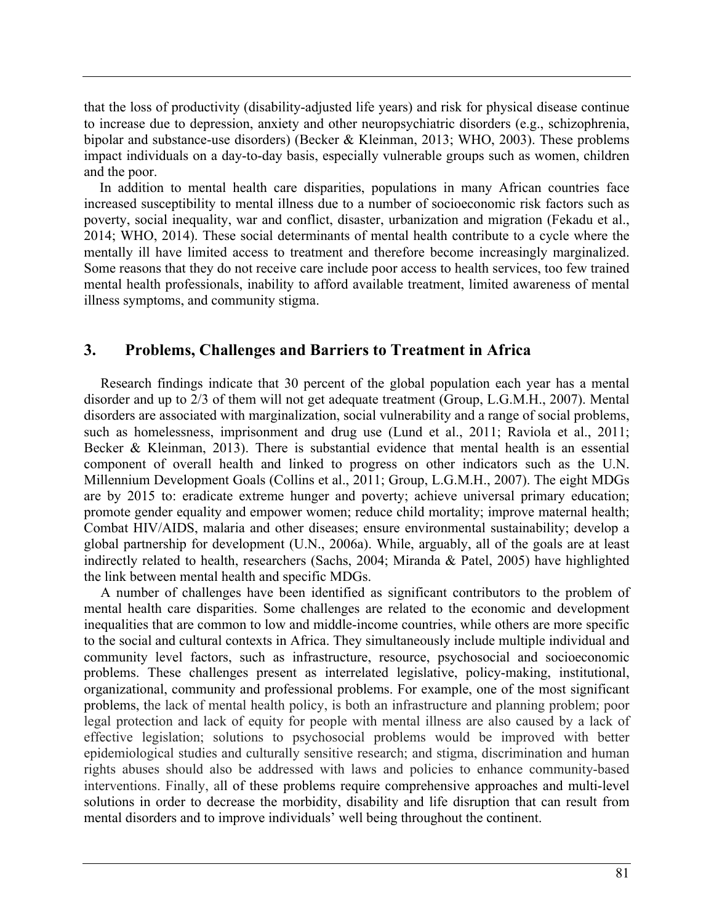that the loss of productivity (disability-adjusted life years) and risk for physical disease continue to increase due to depression, anxiety and other neuropsychiatric disorders (e.g., schizophrenia, bipolar and substance-use disorders) (Becker & Kleinman, 2013; WHO, 2003). These problems impact individuals on a day-to-day basis, especially vulnerable groups such as women, children and the poor.

In addition to mental health care disparities, populations in many African countries face increased susceptibility to mental illness due to a number of socioeconomic risk factors such as poverty, social inequality, war and conflict, disaster, urbanization and migration (Fekadu et al., 2014; WHO, 2014). These social determinants of mental health contribute to a cycle where the mentally ill have limited access to treatment and therefore become increasingly marginalized. Some reasons that they do not receive care include poor access to health services, too few trained mental health professionals, inability to afford available treatment, limited awareness of mental illness symptoms, and community stigma.

## **3. Problems, Challenges and Barriers to Treatment in Africa**

Research findings indicate that 30 percent of the global population each year has a mental disorder and up to 2/3 of them will not get adequate treatment (Group, L.G.M.H., 2007). Mental disorders are associated with marginalization, social vulnerability and a range of social problems, such as homelessness, imprisonment and drug use (Lund et al., 2011; Raviola et al., 2011; Becker & Kleinman, 2013). There is substantial evidence that mental health is an essential component of overall health and linked to progress on other indicators such as the U.N. Millennium Development Goals (Collins et al., 2011; Group, L.G.M.H., 2007). The eight MDGs are by 2015 to: eradicate extreme hunger and poverty; achieve universal primary education; promote gender equality and empower women; reduce child mortality; improve maternal health; Combat HIV/AIDS, malaria and other diseases; ensure environmental sustainability; develop a global partnership for development (U.N., 2006a). While, arguably, all of the goals are at least indirectly related to health, researchers (Sachs, 2004; Miranda & Patel, 2005) have highlighted the link between mental health and specific MDGs.

A number of challenges have been identified as significant contributors to the problem of mental health care disparities. Some challenges are related to the economic and development inequalities that are common to low and middle-income countries, while others are more specific to the social and cultural contexts in Africa. They simultaneously include multiple individual and community level factors, such as infrastructure, resource, psychosocial and socioeconomic problems. These challenges present as interrelated legislative, policy-making, institutional, organizational, community and professional problems. For example, one of the most significant problems, the lack of mental health policy, is both an infrastructure and planning problem; poor legal protection and lack of equity for people with mental illness are also caused by a lack of effective legislation; solutions to psychosocial problems would be improved with better epidemiological studies and culturally sensitive research; and stigma, discrimination and human rights abuses should also be addressed with laws and policies to enhance community-based interventions. Finally, all of these problems require comprehensive approaches and multi-level solutions in order to decrease the morbidity, disability and life disruption that can result from mental disorders and to improve individuals' well being throughout the continent.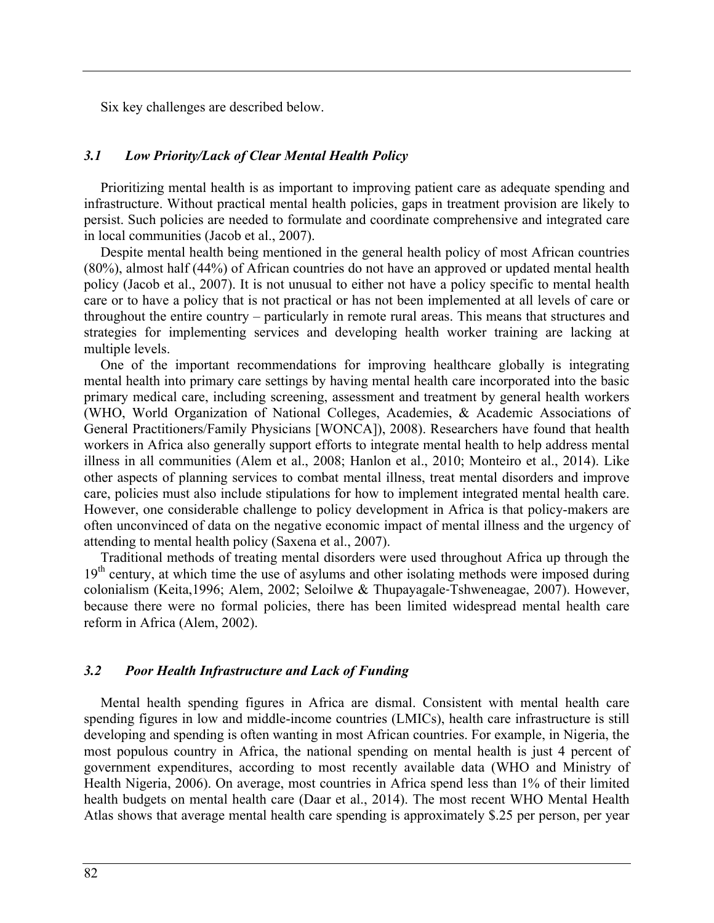Six key challenges are described below.

### *3.1 Low Priority/Lack of Clear Mental Health Policy*

Prioritizing mental health is as important to improving patient care as adequate spending and infrastructure. Without practical mental health policies, gaps in treatment provision are likely to persist. Such policies are needed to formulate and coordinate comprehensive and integrated care in local communities (Jacob et al., 2007).

Despite mental health being mentioned in the general health policy of most African countries (80%), almost half (44%) of African countries do not have an approved or updated mental health policy (Jacob et al., 2007). It is not unusual to either not have a policy specific to mental health care or to have a policy that is not practical or has not been implemented at all levels of care or throughout the entire country – particularly in remote rural areas. This means that structures and strategies for implementing services and developing health worker training are lacking at multiple levels.

One of the important recommendations for improving healthcare globally is integrating mental health into primary care settings by having mental health care incorporated into the basic primary medical care, including screening, assessment and treatment by general health workers (WHO, World Organization of National Colleges, Academies, & Academic Associations of General Practitioners/Family Physicians [WONCA]), 2008). Researchers have found that health workers in Africa also generally support efforts to integrate mental health to help address mental illness in all communities (Alem et al., 2008; Hanlon et al., 2010; Monteiro et al., 2014). Like other aspects of planning services to combat mental illness, treat mental disorders and improve care, policies must also include stipulations for how to implement integrated mental health care. However, one considerable challenge to policy development in Africa is that policy-makers are often unconvinced of data on the negative economic impact of mental illness and the urgency of attending to mental health policy (Saxena et al., 2007).

Traditional methods of treating mental disorders were used throughout Africa up through the  $19<sup>th</sup>$  century, at which time the use of asylums and other isolating methods were imposed during colonialism (Keita,1996; Alem, 2002; Seloilwe & Thupayagale-Tshweneagae, 2007). However, because there were no formal policies, there has been limited widespread mental health care reform in Africa (Alem, 2002).

#### *3.2 Poor Health Infrastructure and Lack of Funding*

Mental health spending figures in Africa are dismal. Consistent with mental health care spending figures in low and middle-income countries (LMICs), health care infrastructure is still developing and spending is often wanting in most African countries. For example, in Nigeria, the most populous country in Africa, the national spending on mental health is just 4 percent of government expenditures, according to most recently available data (WHO and Ministry of Health Nigeria, 2006). On average, most countries in Africa spend less than 1% of their limited health budgets on mental health care (Daar et al., 2014). The most recent WHO Mental Health Atlas shows that average mental health care spending is approximately \$.25 per person, per year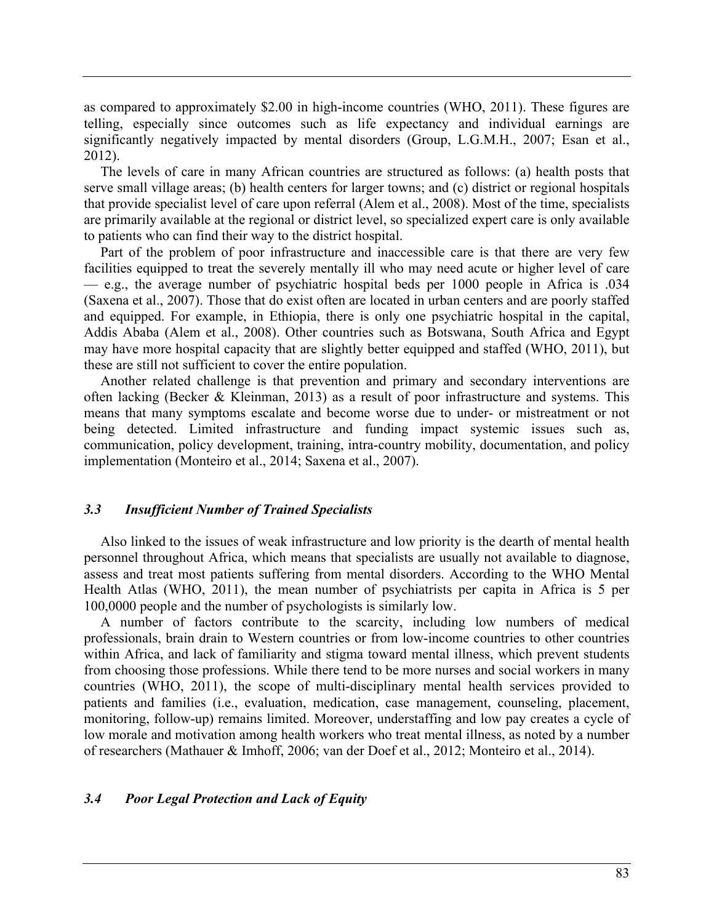as compared to approximately \$2.00 in high-income countries (WHO, 2011). These figures are telling, especially since outcomes such as life expectancy and individual earnings are significantly negatively impacted by mental disorders (Group, L.G.M.H., 2007; Esan et al., 2012).

The levels of care in many African countries are structured as follows: (a) health posts that serve small village areas; (b) health centers for larger towns; and (c) district or regional hospitals that provide specialist level of care upon referral (Alem et al., 2008). Most of the time, specialists are primarily available at the regional or district level, so specialized expert care is only available to patients who can find their way to the district hospital.

Part of the problem of poor infrastructure and inaccessible care is that there are very few facilities equipped to treat the severely mentally ill who may need acute or higher level of care — e.g., the average number of psychiatric hospital beds per 1000 people in Africa is .034 (Saxena et al., 2007). Those that do exist often are located in urban centers and are poorly staffed and equipped. For example, in Ethiopia, there is only one psychiatric hospital in the capital, Addis Ababa (Alem et al., 2008). Other countries such as Botswana, South Africa and Egypt may have more hospital capacity that are slightly better equipped and staffed (WHO, 2011), but these are still not sufficient to cover the entire population.

Another related challenge is that prevention and primary and secondary interventions are often lacking (Becker & Kleinman, 2013) as a result of poor infrastructure and systems. This means that many symptoms escalate and become worse due to under- or mistreatment or not being detected. Limited infrastructure and funding impact systemic issues such as, communication, policy development, training, intra-country mobility, documentation, and policy implementation (Monteiro et al., 2014; Saxena et al., 2007).

### *3.3 Insufficient Number of Trained Specialists*

Also linked to the issues of weak infrastructure and low priority is the dearth of mental health personnel throughout Africa, which means that specialists are usually not available to diagnose, assess and treat most patients suffering from mental disorders. According to the WHO Mental Health Atlas (WHO, 2011), the mean number of psychiatrists per capita in Africa is 5 per 100,0000 people and the number of psychologists is similarly low.

A number of factors contribute to the scarcity, including low numbers of medical professionals, brain drain to Western countries or from low-income countries to other countries within Africa, and lack of familiarity and stigma toward mental illness, which prevent students from choosing those professions. While there tend to be more nurses and social workers in many countries (WHO, 2011), the scope of multi-disciplinary mental health services provided to patients and families (i.e., evaluation, medication, case management, counseling, placement, monitoring, follow-up) remains limited. Moreover, understaffing and low pay creates a cycle of low morale and motivation among health workers who treat mental illness, as noted by a number of researchers (Mathauer & Imhoff, 2006; van der Doef et al., 2012; Monteiro et al., 2014).

### *3.4 Poor Legal Protection and Lack of Equity*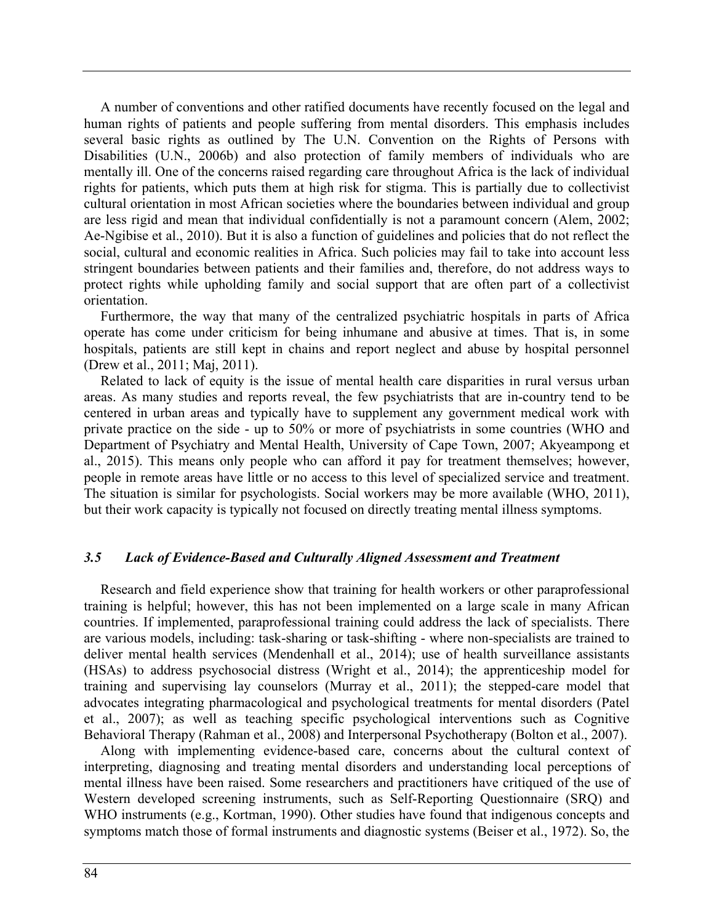A number of conventions and other ratified documents have recently focused on the legal and human rights of patients and people suffering from mental disorders. This emphasis includes several basic rights as outlined by The U.N. Convention on the Rights of Persons with Disabilities (U.N., 2006b) and also protection of family members of individuals who are mentally ill. One of the concerns raised regarding care throughout Africa is the lack of individual rights for patients, which puts them at high risk for stigma. This is partially due to collectivist cultural orientation in most African societies where the boundaries between individual and group are less rigid and mean that individual confidentially is not a paramount concern (Alem, 2002; Ae-Ngibise et al., 2010). But it is also a function of guidelines and policies that do not reflect the social, cultural and economic realities in Africa. Such policies may fail to take into account less stringent boundaries between patients and their families and, therefore, do not address ways to protect rights while upholding family and social support that are often part of a collectivist orientation.

Furthermore, the way that many of the centralized psychiatric hospitals in parts of Africa operate has come under criticism for being inhumane and abusive at times. That is, in some hospitals, patients are still kept in chains and report neglect and abuse by hospital personnel (Drew et al., 2011; Maj, 2011).

Related to lack of equity is the issue of mental health care disparities in rural versus urban areas. As many studies and reports reveal, the few psychiatrists that are in-country tend to be centered in urban areas and typically have to supplement any government medical work with private practice on the side - up to 50% or more of psychiatrists in some countries (WHO and Department of Psychiatry and Mental Health, University of Cape Town, 2007; Akyeampong et al., 2015). This means only people who can afford it pay for treatment themselves; however, people in remote areas have little or no access to this level of specialized service and treatment. The situation is similar for psychologists. Social workers may be more available (WHO, 2011), but their work capacity is typically not focused on directly treating mental illness symptoms.

### *3.5 Lack of Evidence-Based and Culturally Aligned Assessment and Treatment*

Research and field experience show that training for health workers or other paraprofessional training is helpful; however, this has not been implemented on a large scale in many African countries. If implemented, paraprofessional training could address the lack of specialists. There are various models, including: task-sharing or task-shifting - where non-specialists are trained to deliver mental health services (Mendenhall et al., 2014); use of health surveillance assistants (HSAs) to address psychosocial distress (Wright et al., 2014); the apprenticeship model for training and supervising lay counselors (Murray et al., 2011); the stepped-care model that advocates integrating pharmacological and psychological treatments for mental disorders (Patel et al., 2007); as well as teaching specific psychological interventions such as Cognitive Behavioral Therapy (Rahman et al., 2008) and Interpersonal Psychotherapy (Bolton et al., 2007).

Along with implementing evidence-based care, concerns about the cultural context of interpreting, diagnosing and treating mental disorders and understanding local perceptions of mental illness have been raised. Some researchers and practitioners have critiqued of the use of Western developed screening instruments, such as Self-Reporting Questionnaire (SRQ) and WHO instruments (e.g., Kortman, 1990). Other studies have found that indigenous concepts and symptoms match those of formal instruments and diagnostic systems (Beiser et al., 1972). So, the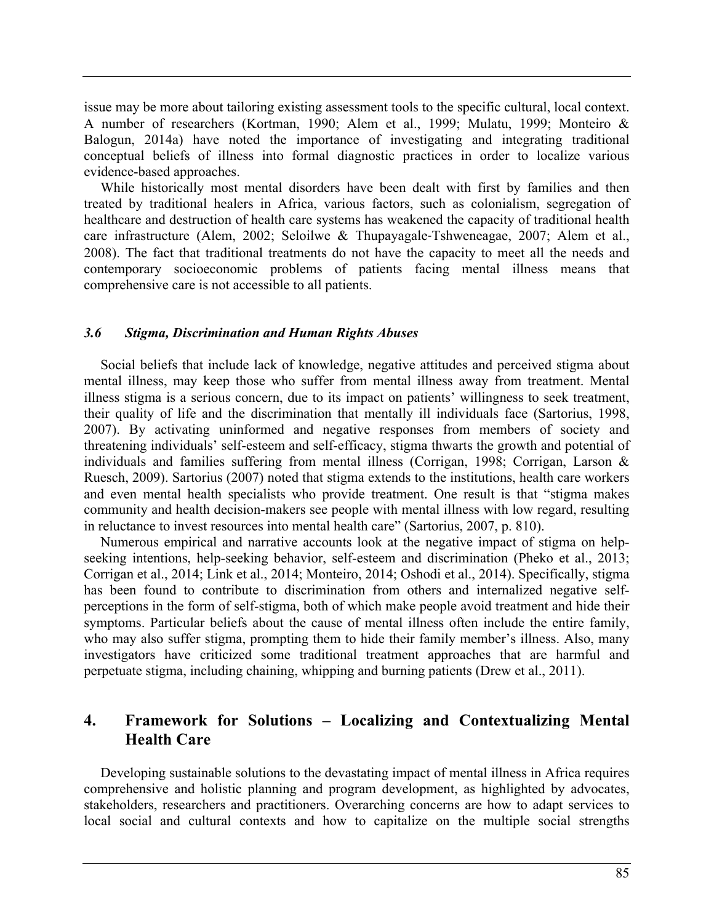issue may be more about tailoring existing assessment tools to the specific cultural, local context. A number of researchers (Kortman, 1990; Alem et al., 1999; Mulatu, 1999; Monteiro & Balogun, 2014a) have noted the importance of investigating and integrating traditional conceptual beliefs of illness into formal diagnostic practices in order to localize various evidence-based approaches.

While historically most mental disorders have been dealt with first by families and then treated by traditional healers in Africa, various factors, such as colonialism, segregation of healthcare and destruction of health care systems has weakened the capacity of traditional health care infrastructure (Alem, 2002; Seloilwe & Thupayagale-Tshweneagae, 2007; Alem et al., 2008). The fact that traditional treatments do not have the capacity to meet all the needs and contemporary socioeconomic problems of patients facing mental illness means that comprehensive care is not accessible to all patients.

#### *3.6 Stigma, Discrimination and Human Rights Abuses*

Social beliefs that include lack of knowledge, negative attitudes and perceived stigma about mental illness, may keep those who suffer from mental illness away from treatment. Mental illness stigma is a serious concern, due to its impact on patients' willingness to seek treatment, their quality of life and the discrimination that mentally ill individuals face (Sartorius, 1998, 2007). By activating uninformed and negative responses from members of society and threatening individuals' self-esteem and self-efficacy, stigma thwarts the growth and potential of individuals and families suffering from mental illness (Corrigan, 1998; Corrigan, Larson & Ruesch, 2009). Sartorius (2007) noted that stigma extends to the institutions, health care workers and even mental health specialists who provide treatment. One result is that "stigma makes community and health decision-makers see people with mental illness with low regard, resulting in reluctance to invest resources into mental health care" (Sartorius, 2007, p. 810).

Numerous empirical and narrative accounts look at the negative impact of stigma on helpseeking intentions, help-seeking behavior, self-esteem and discrimination (Pheko et al., 2013; Corrigan et al., 2014; Link et al., 2014; Monteiro, 2014; Oshodi et al., 2014). Specifically, stigma has been found to contribute to discrimination from others and internalized negative selfperceptions in the form of self-stigma, both of which make people avoid treatment and hide their symptoms. Particular beliefs about the cause of mental illness often include the entire family, who may also suffer stigma, prompting them to hide their family member's illness. Also, many investigators have criticized some traditional treatment approaches that are harmful and perpetuate stigma, including chaining, whipping and burning patients (Drew et al., 2011).

# **4. Framework for Solutions – Localizing and Contextualizing Mental Health Care**

Developing sustainable solutions to the devastating impact of mental illness in Africa requires comprehensive and holistic planning and program development, as highlighted by advocates, stakeholders, researchers and practitioners. Overarching concerns are how to adapt services to local social and cultural contexts and how to capitalize on the multiple social strengths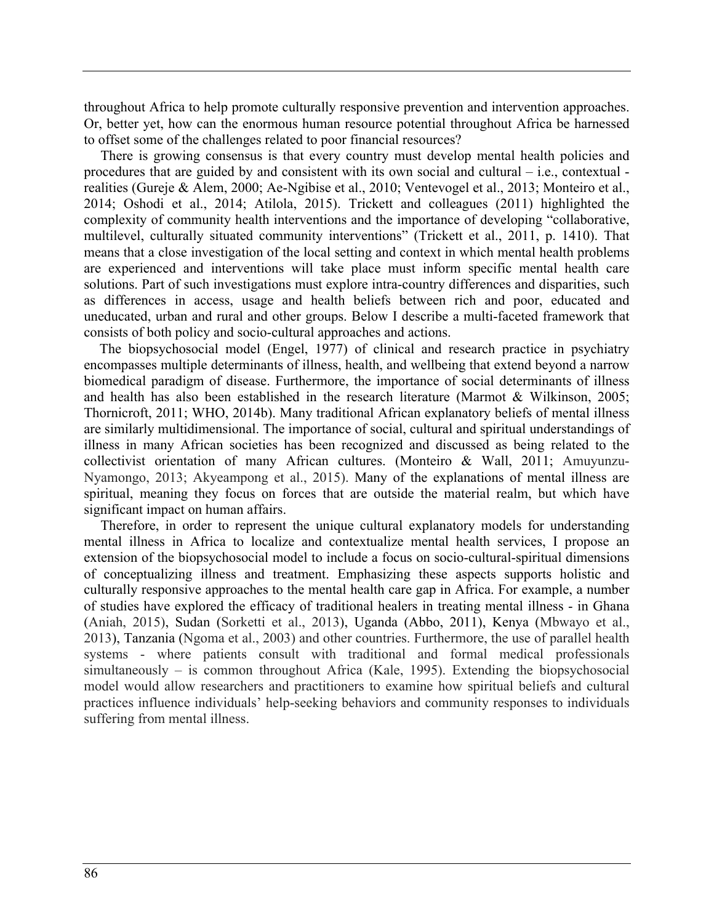throughout Africa to help promote culturally responsive prevention and intervention approaches. Or, better yet, how can the enormous human resource potential throughout Africa be harnessed to offset some of the challenges related to poor financial resources?

There is growing consensus is that every country must develop mental health policies and procedures that are guided by and consistent with its own social and cultural – i.e., contextual realities (Gureje & Alem, 2000; Ae-Ngibise et al., 2010; Ventevogel et al., 2013; Monteiro et al., 2014; Oshodi et al., 2014; Atilola, 2015). Trickett and colleagues (2011) highlighted the complexity of community health interventions and the importance of developing "collaborative, multilevel, culturally situated community interventions" (Trickett et al., 2011, p. 1410). That means that a close investigation of the local setting and context in which mental health problems are experienced and interventions will take place must inform specific mental health care solutions. Part of such investigations must explore intra-country differences and disparities, such as differences in access, usage and health beliefs between rich and poor, educated and uneducated, urban and rural and other groups. Below I describe a multi-faceted framework that consists of both policy and socio-cultural approaches and actions.

The biopsychosocial model (Engel, 1977) of clinical and research practice in psychiatry encompasses multiple determinants of illness, health, and wellbeing that extend beyond a narrow biomedical paradigm of disease. Furthermore, the importance of social determinants of illness and health has also been established in the research literature (Marmot & Wilkinson, 2005; Thornicroft, 2011; WHO, 2014b). Many traditional African explanatory beliefs of mental illness are similarly multidimensional. The importance of social, cultural and spiritual understandings of illness in many African societies has been recognized and discussed as being related to the collectivist orientation of many African cultures. (Monteiro & Wall, 2011; Amuyunzu-Nyamongo, 2013; Akyeampong et al., 2015). Many of the explanations of mental illness are spiritual, meaning they focus on forces that are outside the material realm, but which have significant impact on human affairs.

Therefore, in order to represent the unique cultural explanatory models for understanding mental illness in Africa to localize and contextualize mental health services, I propose an extension of the biopsychosocial model to include a focus on socio-cultural-spiritual dimensions of conceptualizing illness and treatment. Emphasizing these aspects supports holistic and culturally responsive approaches to the mental health care gap in Africa. For example, a number of studies have explored the efficacy of traditional healers in treating mental illness - in Ghana (Aniah, 2015), Sudan (Sorketti et al., 2013), Uganda (Abbo, 2011), Kenya (Mbwayo et al., 2013), Tanzania (Ngoma et al., 2003) and other countries. Furthermore, the use of parallel health systems - where patients consult with traditional and formal medical professionals simultaneously – is common throughout Africa (Kale, 1995). Extending the biopsychosocial model would allow researchers and practitioners to examine how spiritual beliefs and cultural practices influence individuals' help-seeking behaviors and community responses to individuals suffering from mental illness.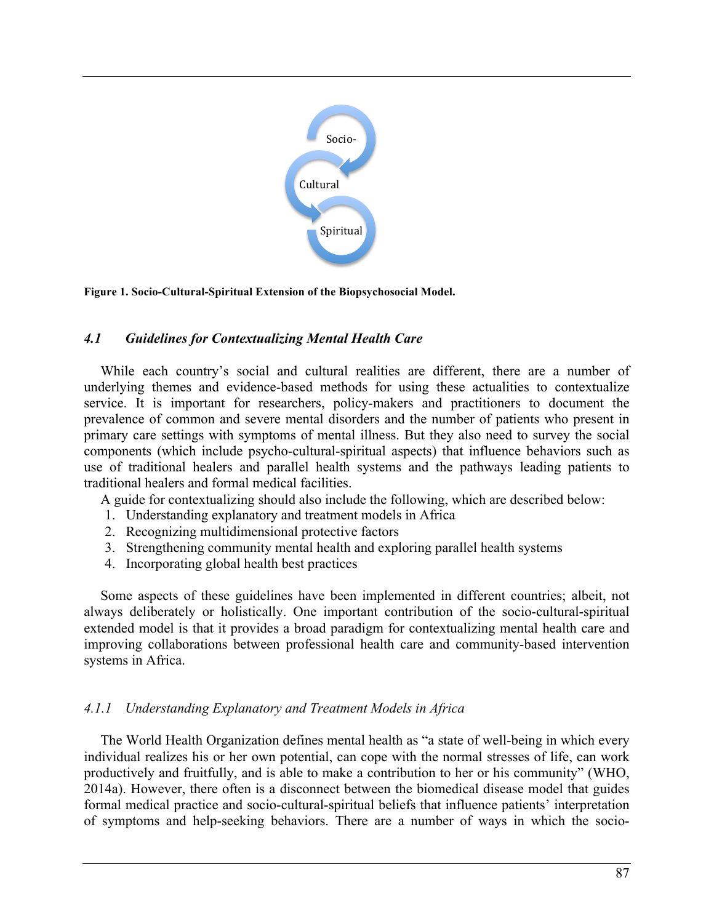

**Figure 1. Socio-Cultural-Spiritual Extension of the Biopsychosocial Model.**

## *4.1 Guidelines for Contextualizing Mental Health Care*

While each country's social and cultural realities are different, there are a number of underlying themes and evidence-based methods for using these actualities to contextualize service. It is important for researchers, policy-makers and practitioners to document the prevalence of common and severe mental disorders and the number of patients who present in primary care settings with symptoms of mental illness. But they also need to survey the social components (which include psycho-cultural-spiritual aspects) that influence behaviors such as use of traditional healers and parallel health systems and the pathways leading patients to traditional healers and formal medical facilities.

A guide for contextualizing should also include the following, which are described below:

- 1. Understanding explanatory and treatment models in Africa
- 2. Recognizing multidimensional protective factors
- 3. Strengthening community mental health and exploring parallel health systems
- 4. Incorporating global health best practices

Some aspects of these guidelines have been implemented in different countries; albeit, not always deliberately or holistically. One important contribution of the socio-cultural-spiritual extended model is that it provides a broad paradigm for contextualizing mental health care and improving collaborations between professional health care and community-based intervention systems in Africa.

## *4.1.1 Understanding Explanatory and Treatment Models in Africa*

The World Health Organization defines mental health as "a state of well-being in which every individual realizes his or her own potential, can cope with the normal stresses of life, can work productively and fruitfully, and is able to make a contribution to her or his community" (WHO, 2014a). However, there often is a disconnect between the biomedical disease model that guides formal medical practice and socio-cultural-spiritual beliefs that influence patients' interpretation of symptoms and help-seeking behaviors. There are a number of ways in which the socio-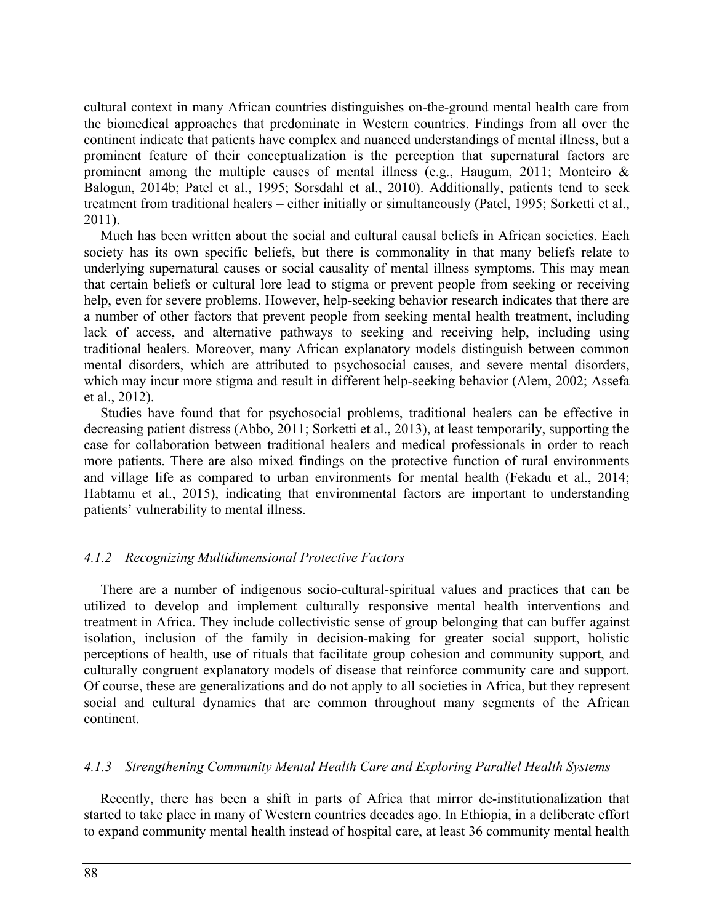cultural context in many African countries distinguishes on-the-ground mental health care from the biomedical approaches that predominate in Western countries. Findings from all over the continent indicate that patients have complex and nuanced understandings of mental illness, but a prominent feature of their conceptualization is the perception that supernatural factors are prominent among the multiple causes of mental illness (e.g., Haugum, 2011; Monteiro & Balogun, 2014b; Patel et al., 1995; Sorsdahl et al., 2010). Additionally, patients tend to seek treatment from traditional healers – either initially or simultaneously (Patel, 1995; Sorketti et al., 2011).

Much has been written about the social and cultural causal beliefs in African societies. Each society has its own specific beliefs, but there is commonality in that many beliefs relate to underlying supernatural causes or social causality of mental illness symptoms. This may mean that certain beliefs or cultural lore lead to stigma or prevent people from seeking or receiving help, even for severe problems. However, help-seeking behavior research indicates that there are a number of other factors that prevent people from seeking mental health treatment, including lack of access, and alternative pathways to seeking and receiving help, including using traditional healers. Moreover, many African explanatory models distinguish between common mental disorders, which are attributed to psychosocial causes, and severe mental disorders, which may incur more stigma and result in different help-seeking behavior (Alem, 2002; Assefa et al., 2012).

Studies have found that for psychosocial problems, traditional healers can be effective in decreasing patient distress (Abbo, 2011; Sorketti et al., 2013), at least temporarily, supporting the case for collaboration between traditional healers and medical professionals in order to reach more patients. There are also mixed findings on the protective function of rural environments and village life as compared to urban environments for mental health (Fekadu et al., 2014; Habtamu et al., 2015), indicating that environmental factors are important to understanding patients' vulnerability to mental illness.

## *4.1.2 Recognizing Multidimensional Protective Factors*

There are a number of indigenous socio-cultural-spiritual values and practices that can be utilized to develop and implement culturally responsive mental health interventions and treatment in Africa. They include collectivistic sense of group belonging that can buffer against isolation, inclusion of the family in decision-making for greater social support, holistic perceptions of health, use of rituals that facilitate group cohesion and community support, and culturally congruent explanatory models of disease that reinforce community care and support. Of course, these are generalizations and do not apply to all societies in Africa, but they represent social and cultural dynamics that are common throughout many segments of the African continent.

### *4.1.3 Strengthening Community Mental Health Care and Exploring Parallel Health Systems*

Recently, there has been a shift in parts of Africa that mirror de-institutionalization that started to take place in many of Western countries decades ago. In Ethiopia, in a deliberate effort to expand community mental health instead of hospital care, at least 36 community mental health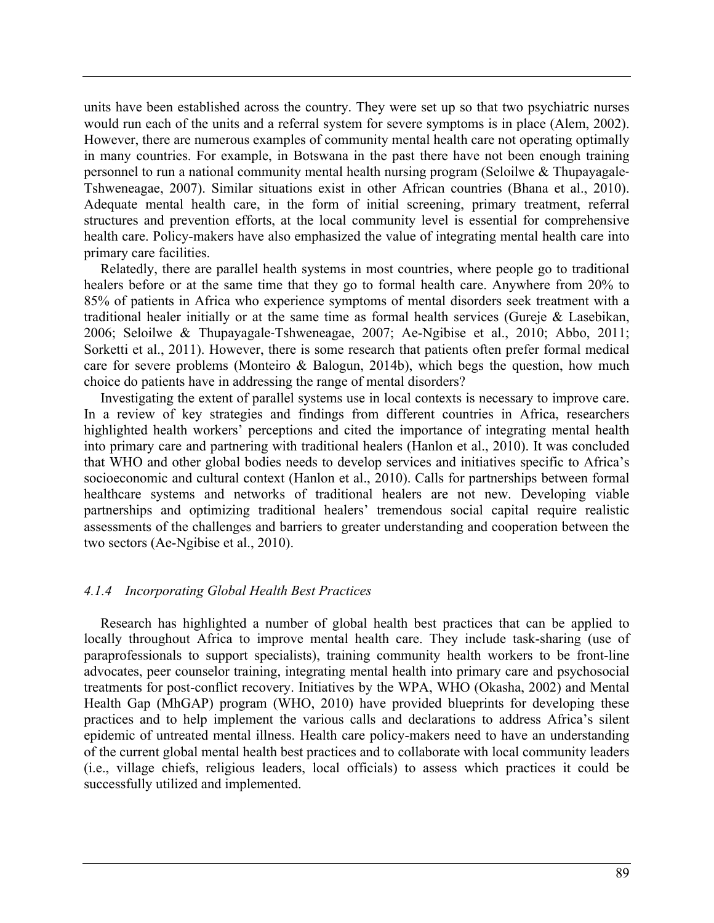units have been established across the country. They were set up so that two psychiatric nurses would run each of the units and a referral system for severe symptoms is in place (Alem, 2002). However, there are numerous examples of community mental health care not operating optimally in many countries. For example, in Botswana in the past there have not been enough training personnel to run a national community mental health nursing program (Seloilwe & Thupayagale-Tshweneagae, 2007). Similar situations exist in other African countries (Bhana et al., 2010). Adequate mental health care, in the form of initial screening, primary treatment, referral structures and prevention efforts, at the local community level is essential for comprehensive health care. Policy-makers have also emphasized the value of integrating mental health care into primary care facilities.

Relatedly, there are parallel health systems in most countries, where people go to traditional healers before or at the same time that they go to formal health care. Anywhere from 20% to 85% of patients in Africa who experience symptoms of mental disorders seek treatment with a traditional healer initially or at the same time as formal health services (Gureje & Lasebikan, 2006; Seloilwe & Thupayagale-Tshweneagae, 2007; Ae-Ngibise et al., 2010; Abbo, 2011; Sorketti et al., 2011). However, there is some research that patients often prefer formal medical care for severe problems (Monteiro & Balogun, 2014b), which begs the question, how much choice do patients have in addressing the range of mental disorders?

Investigating the extent of parallel systems use in local contexts is necessary to improve care. In a review of key strategies and findings from different countries in Africa, researchers highlighted health workers' perceptions and cited the importance of integrating mental health into primary care and partnering with traditional healers (Hanlon et al., 2010). It was concluded that WHO and other global bodies needs to develop services and initiatives specific to Africa's socioeconomic and cultural context (Hanlon et al., 2010). Calls for partnerships between formal healthcare systems and networks of traditional healers are not new. Developing viable partnerships and optimizing traditional healers' tremendous social capital require realistic assessments of the challenges and barriers to greater understanding and cooperation between the two sectors (Ae-Ngibise et al., 2010).

### *4.1.4 Incorporating Global Health Best Practices*

Research has highlighted a number of global health best practices that can be applied to locally throughout Africa to improve mental health care. They include task-sharing (use of paraprofessionals to support specialists), training community health workers to be front-line advocates, peer counselor training, integrating mental health into primary care and psychosocial treatments for post-conflict recovery. Initiatives by the WPA, WHO (Okasha, 2002) and Mental Health Gap (MhGAP) program (WHO, 2010) have provided blueprints for developing these practices and to help implement the various calls and declarations to address Africa's silent epidemic of untreated mental illness. Health care policy-makers need to have an understanding of the current global mental health best practices and to collaborate with local community leaders (i.e., village chiefs, religious leaders, local officials) to assess which practices it could be successfully utilized and implemented.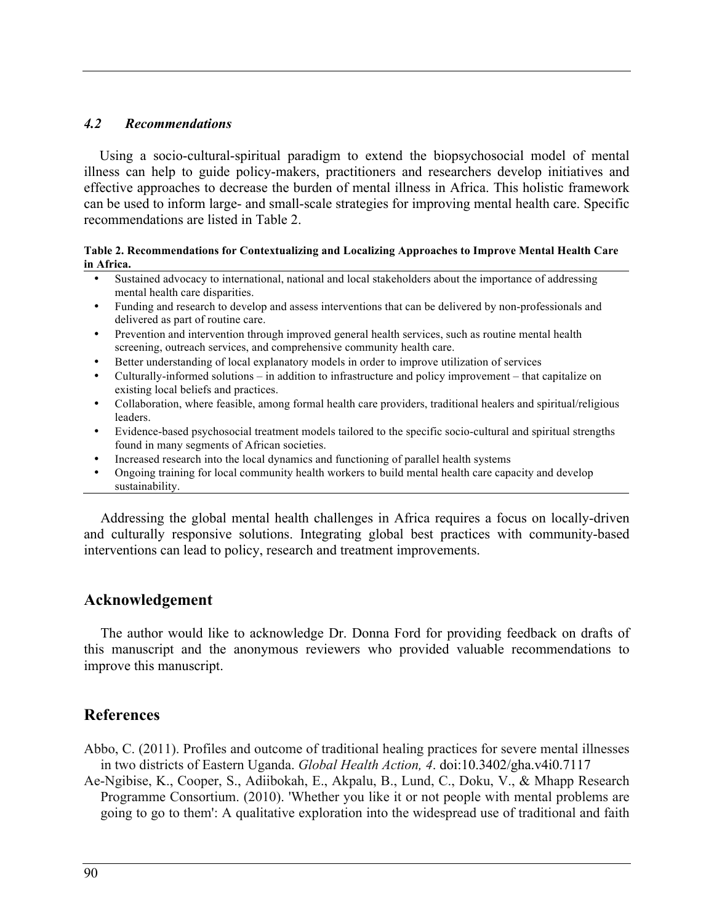## *4.2 Recommendations*

Using a socio-cultural-spiritual paradigm to extend the biopsychosocial model of mental illness can help to guide policy-makers, practitioners and researchers develop initiatives and effective approaches to decrease the burden of mental illness in Africa. This holistic framework can be used to inform large- and small-scale strategies for improving mental health care. Specific recommendations are listed in Table 2.

#### **Table 2. Recommendations for Contextualizing and Localizing Approaches to Improve Mental Health Care in Africa.**

- Sustained advocacy to international, national and local stakeholders about the importance of addressing mental health care disparities.
- Funding and research to develop and assess interventions that can be delivered by non-professionals and delivered as part of routine care.
- Prevention and intervention through improved general health services, such as routine mental health screening, outreach services, and comprehensive community health care.
- Better understanding of local explanatory models in order to improve utilization of services
- Culturally-informed solutions in addition to infrastructure and policy improvement that capitalize on existing local beliefs and practices.
- Collaboration, where feasible, among formal health care providers, traditional healers and spiritual/religious leaders.
- Evidence-based psychosocial treatment models tailored to the specific socio-cultural and spiritual strengths found in many segments of African societies.
- Increased research into the local dynamics and functioning of parallel health systems
- Ongoing training for local community health workers to build mental health care capacity and develop sustainability.

Addressing the global mental health challenges in Africa requires a focus on locally-driven and culturally responsive solutions. Integrating global best practices with community-based interventions can lead to policy, research and treatment improvements.

## **Acknowledgement**

The author would like to acknowledge Dr. Donna Ford for providing feedback on drafts of this manuscript and the anonymous reviewers who provided valuable recommendations to improve this manuscript.

## **References**

Abbo, C. (2011). Profiles and outcome of traditional healing practices for severe mental illnesses in two districts of Eastern Uganda. *Global Health Action, 4*. doi:10.3402/gha.v4i0.7117

Ae-Ngibise, K., Cooper, S., Adiibokah, E., Akpalu, B., Lund, C., Doku, V., & Mhapp Research Programme Consortium. (2010). 'Whether you like it or not people with mental problems are going to go to them': A qualitative exploration into the widespread use of traditional and faith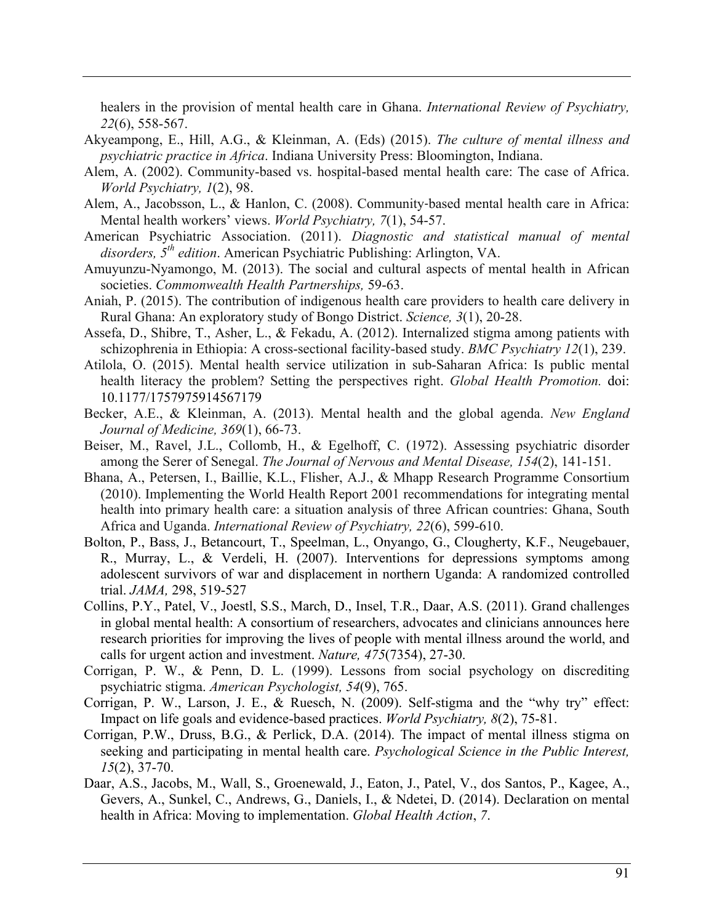healers in the provision of mental health care in Ghana. *International Review of Psychiatry, 22*(6), 558-567.

- Akyeampong, E., Hill, A.G., & Kleinman, A. (Eds) (2015). *The culture of mental illness and psychiatric practice in Africa*. Indiana University Press: Bloomington, Indiana.
- Alem, A. (2002). Community-based vs. hospital-based mental health care: The case of Africa. *World Psychiatry, 1*(2), 98.
- Alem, A., Jacobsson, L., & Hanlon, C. (2008). Community-based mental health care in Africa: Mental health workers' views. *World Psychiatry, 7*(1), 54-57.
- American Psychiatric Association. (2011). *Diagnostic and statistical manual of mental disorders, 5th edition*. American Psychiatric Publishing: Arlington, VA.
- Amuyunzu-Nyamongo, M. (2013). The social and cultural aspects of mental health in African societies. *Commonwealth Health Partnerships,* 59-63.
- Aniah, P. (2015). The contribution of indigenous health care providers to health care delivery in Rural Ghana: An exploratory study of Bongo District. *Science, 3*(1), 20-28.
- Assefa, D., Shibre, T., Asher, L., & Fekadu, A. (2012). Internalized stigma among patients with schizophrenia in Ethiopia: A cross-sectional facility-based study. *BMC Psychiatry 12*(1), 239.
- Atilola, O. (2015). Mental health service utilization in sub-Saharan Africa: Is public mental health literacy the problem? Setting the perspectives right. *Global Health Promotion.* doi: 10.1177/1757975914567179
- Becker, A.E., & Kleinman, A. (2013). Mental health and the global agenda. *New England Journal of Medicine, 369*(1), 66-73.
- Beiser, M., Ravel, J.L., Collomb, H., & Egelhoff, C. (1972). Assessing psychiatric disorder among the Serer of Senegal. *The Journal of Nervous and Mental Disease, 154*(2), 141-151.
- Bhana, A., Petersen, I., Baillie, K.L., Flisher, A.J., & Mhapp Research Programme Consortium (2010). Implementing the World Health Report 2001 recommendations for integrating mental health into primary health care: a situation analysis of three African countries: Ghana, South Africa and Uganda. *International Review of Psychiatry, 22*(6), 599-610.
- Bolton, P., Bass, J., Betancourt, T., Speelman, L., Onyango, G., Clougherty, K.F., Neugebauer, R., Murray, L., & Verdeli, H. (2007). Interventions for depressions symptoms among adolescent survivors of war and displacement in northern Uganda: A randomized controlled trial. *JAMA,* 298, 519-527
- Collins, P.Y., Patel, V., Joestl, S.S., March, D., Insel, T.R., Daar, A.S. (2011). Grand challenges in global mental health: A consortium of researchers, advocates and clinicians announces here research priorities for improving the lives of people with mental illness around the world, and calls for urgent action and investment. *Nature, 475*(7354), 27-30.
- Corrigan, P. W., & Penn, D. L. (1999). Lessons from social psychology on discrediting psychiatric stigma. *American Psychologist, 54*(9), 765.
- Corrigan, P. W., Larson, J. E., & Ruesch, N. (2009). Self-stigma and the "why try" effect: Impact on life goals and evidence-based practices. *World Psychiatry, 8*(2), 75-81.
- Corrigan, P.W., Druss, B.G., & Perlick, D.A. (2014). The impact of mental illness stigma on seeking and participating in mental health care. *Psychological Science in the Public Interest, 15*(2), 37-70.
- Daar, A.S., Jacobs, M., Wall, S., Groenewald, J., Eaton, J., Patel, V., dos Santos, P., Kagee, A., Gevers, A., Sunkel, C., Andrews, G., Daniels, I., & Ndetei, D. (2014). Declaration on mental health in Africa: Moving to implementation. *Global Health Action*, *7*.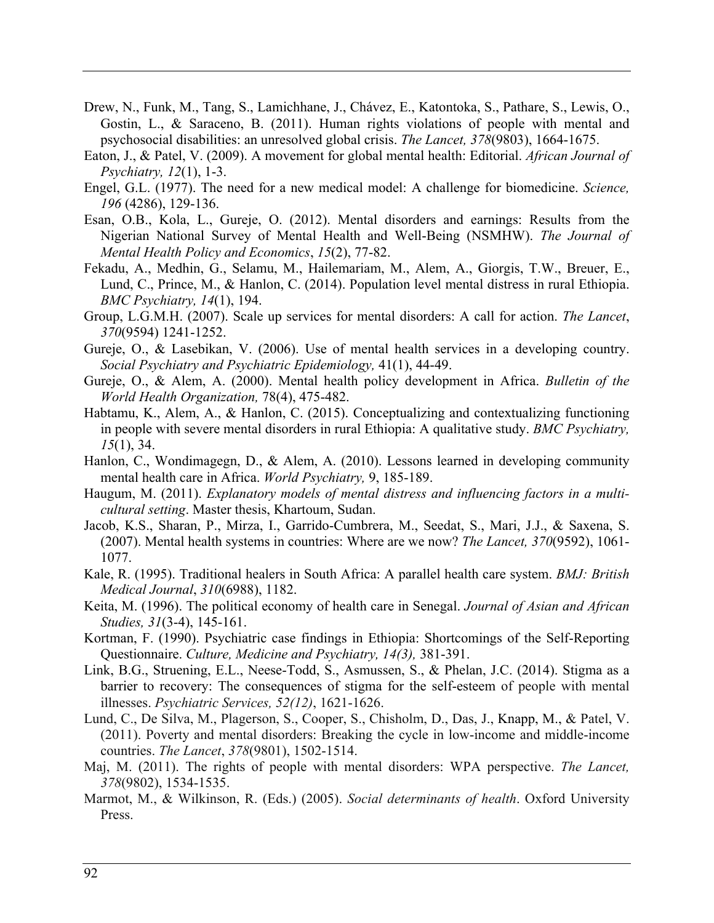- Drew, N., Funk, M., Tang, S., Lamichhane, J., Chávez, E., Katontoka, S., Pathare, S., Lewis, O., Gostin, L., & Saraceno, B. (2011). Human rights violations of people with mental and psychosocial disabilities: an unresolved global crisis. *The Lancet, 378*(9803), 1664-1675.
- Eaton, J., & Patel, V. (2009). A movement for global mental health: Editorial. *African Journal of Psychiatry, 12*(1), 1-3.
- Engel, G.L. (1977). The need for a new medical model: A challenge for biomedicine. *Science, 196* (4286), 129-136.
- Esan, O.B., Kola, L., Gureje, O. (2012). Mental disorders and earnings: Results from the Nigerian National Survey of Mental Health and Well-Being (NSMHW). *The Journal of Mental Health Policy and Economics*, *15*(2), 77-82.
- Fekadu, A., Medhin, G., Selamu, M., Hailemariam, M., Alem, A., Giorgis, T.W., Breuer, E., Lund, C., Prince, M., & Hanlon, C. (2014). Population level mental distress in rural Ethiopia. *BMC Psychiatry, 14*(1), 194.
- Group, L.G.M.H. (2007). Scale up services for mental disorders: A call for action. *The Lancet*, *370*(9594) 1241-1252.
- Gureje, O., & Lasebikan, V. (2006). Use of mental health services in a developing country. *Social Psychiatry and Psychiatric Epidemiology,* 41(1), 44-49.
- Gureje, O., & Alem, A. (2000). Mental health policy development in Africa. *Bulletin of the World Health Organization,* 78(4), 475-482.
- Habtamu, K., Alem, A., & Hanlon, C. (2015). Conceptualizing and contextualizing functioning in people with severe mental disorders in rural Ethiopia: A qualitative study. *BMC Psychiatry, 15*(1), 34.
- Hanlon, C., Wondimagegn, D., & Alem, A. (2010). Lessons learned in developing community mental health care in Africa. *World Psychiatry,* 9, 185-189.
- Haugum, M. (2011). *Explanatory models of mental distress and influencing factors in a multicultural setting*. Master thesis, Khartoum, Sudan.
- Jacob, K.S., Sharan, P., Mirza, I., Garrido-Cumbrera, M., Seedat, S., Mari, J.J., & Saxena, S. (2007). Mental health systems in countries: Where are we now? *The Lancet, 370*(9592), 1061- 1077.
- Kale, R. (1995). Traditional healers in South Africa: A parallel health care system. *BMJ: British Medical Journal*, *310*(6988), 1182.
- Keita, M. (1996). The political economy of health care in Senegal. *Journal of Asian and African Studies, 31*(3-4), 145-161.
- Kortman, F. (1990). Psychiatric case findings in Ethiopia: Shortcomings of the Self-Reporting Questionnaire. *Culture, Medicine and Psychiatry, 14(3),* 381-391.
- Link, B.G., Struening, E.L., Neese-Todd, S., Asmussen, S., & Phelan, J.C. (2014). Stigma as a barrier to recovery: The consequences of stigma for the self-esteem of people with mental illnesses. *Psychiatric Services, 52(12)*, 1621-1626.
- Lund, C., De Silva, M., Plagerson, S., Cooper, S., Chisholm, D., Das, J., Knapp, M., & Patel, V. (2011). Poverty and mental disorders: Breaking the cycle in low-income and middle-income countries. *The Lancet*, *378*(9801), 1502-1514.
- Maj, M. (2011). The rights of people with mental disorders: WPA perspective. *The Lancet, 378*(9802), 1534-1535.
- Marmot, M., & Wilkinson, R. (Eds.) (2005). *Social determinants of health*. Oxford University Press.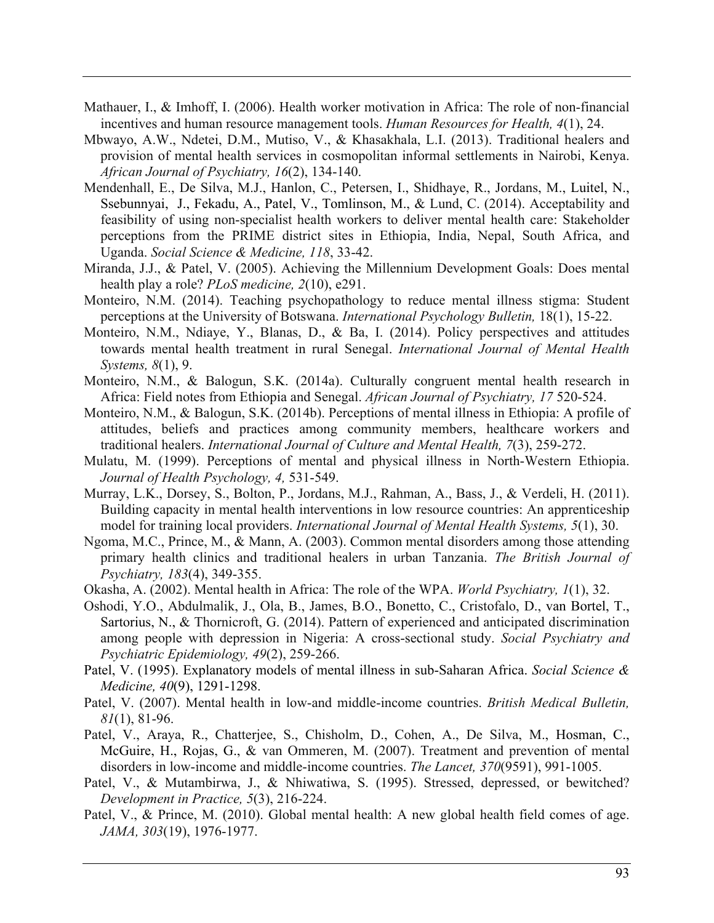- Mathauer, I., & Imhoff, I. (2006). Health worker motivation in Africa: The role of non-financial incentives and human resource management tools. *Human Resources for Health, 4*(1), 24.
- Mbwayo, A.W., Ndetei, D.M., Mutiso, V., & Khasakhala, L.I. (2013). Traditional healers and provision of mental health services in cosmopolitan informal settlements in Nairobi, Kenya. *African Journal of Psychiatry, 16*(2), 134-140.
- Mendenhall, E., De Silva, M.J., Hanlon, C., Petersen, I., Shidhaye, R., Jordans, M., Luitel, N., Ssebunnyai, J., Fekadu, A., Patel, V., Tomlinson, M., & Lund, C. (2014). Acceptability and feasibility of using non-specialist health workers to deliver mental health care: Stakeholder perceptions from the PRIME district sites in Ethiopia, India, Nepal, South Africa, and Uganda. *Social Science & Medicine, 118*, 33-42.
- Miranda, J.J., & Patel, V. (2005). Achieving the Millennium Development Goals: Does mental health play a role? *PLoS medicine, 2*(10), e291.
- Monteiro, N.M. (2014). Teaching psychopathology to reduce mental illness stigma: Student perceptions at the University of Botswana. *International Psychology Bulletin,* 18(1), 15-22.
- Monteiro, N.M., Ndiaye, Y., Blanas, D., & Ba, I. (2014). Policy perspectives and attitudes towards mental health treatment in rural Senegal. *International Journal of Mental Health Systems, 8*(1), 9.
- Monteiro, N.M., & Balogun, S.K. (2014a). Culturally congruent mental health research in Africa: Field notes from Ethiopia and Senegal. *African Journal of Psychiatry, 17* 520-524.
- Monteiro, N.M., & Balogun, S.K. (2014b). Perceptions of mental illness in Ethiopia: A profile of attitudes, beliefs and practices among community members, healthcare workers and traditional healers. *International Journal of Culture and Mental Health, 7*(3), 259-272.
- Mulatu, M. (1999). Perceptions of mental and physical illness in North-Western Ethiopia. *Journal of Health Psychology, 4,* 531-549.
- Murray, L.K., Dorsey, S., Bolton, P., Jordans, M.J., Rahman, A., Bass, J., & Verdeli, H. (2011). Building capacity in mental health interventions in low resource countries: An apprenticeship model for training local providers. *International Journal of Mental Health Systems, 5*(1), 30.
- Ngoma, M.C., Prince, M., & Mann, A. (2003). Common mental disorders among those attending primary health clinics and traditional healers in urban Tanzania. *The British Journal of Psychiatry, 183*(4), 349-355.
- Okasha, A. (2002). Mental health in Africa: The role of the WPA. *World Psychiatry, 1*(1), 32.
- Oshodi, Y.O., Abdulmalik, J., Ola, B., James, B.O., Bonetto, C., Cristofalo, D., van Bortel, T., Sartorius, N., & Thornicroft, G. (2014). Pattern of experienced and anticipated discrimination among people with depression in Nigeria: A cross-sectional study. *Social Psychiatry and Psychiatric Epidemiology, 49*(2), 259-266.
- Patel, V. (1995). Explanatory models of mental illness in sub-Saharan Africa. *Social Science & Medicine, 40*(9), 1291-1298.
- Patel, V. (2007). Mental health in low-and middle-income countries. *British Medical Bulletin, 81*(1), 81-96.
- Patel, V., Araya, R., Chatterjee, S., Chisholm, D., Cohen, A., De Silva, M., Hosman, C., McGuire, H., Rojas, G., & van Ommeren, M. (2007). Treatment and prevention of mental disorders in low-income and middle-income countries. *The Lancet, 370*(9591), 991-1005.
- Patel, V., & Mutambirwa, J., & Nhiwatiwa, S. (1995). Stressed, depressed, or bewitched? *Development in Practice, 5*(3), 216-224.
- Patel, V., & Prince, M. (2010). Global mental health: A new global health field comes of age. *JAMA, 303*(19), 1976-1977.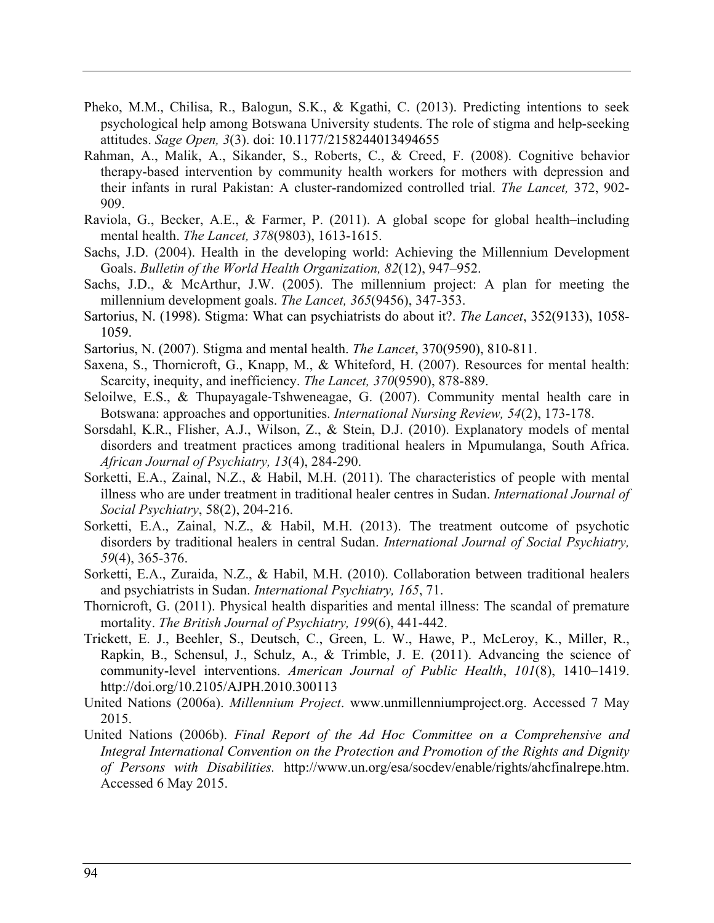- Pheko, M.M., Chilisa, R., Balogun, S.K., & Kgathi, C. (2013). Predicting intentions to seek psychological help among Botswana University students. The role of stigma and help-seeking attitudes. *Sage Open, 3*(3). doi: 10.1177/2158244013494655
- Rahman, A., Malik, A., Sikander, S., Roberts, C., & Creed, F. (2008). Cognitive behavior therapy-based intervention by community health workers for mothers with depression and their infants in rural Pakistan: A cluster-randomized controlled trial. *The Lancet,* 372, 902- 909.
- Raviola, G., Becker, A.E., & Farmer, P. (2011). A global scope for global health–including mental health. *The Lancet, 378*(9803), 1613-1615.
- Sachs, J.D. (2004). Health in the developing world: Achieving the Millennium Development Goals. *Bulletin of the World Health Organization, 82*(12), 947–952.
- Sachs, J.D., & McArthur, J.W. (2005). The millennium project: A plan for meeting the millennium development goals. *The Lancet, 365*(9456), 347-353.
- Sartorius, N. (1998). Stigma: What can psychiatrists do about it?. *The Lancet*, 352(9133), 1058- 1059.
- Sartorius, N. (2007). Stigma and mental health. *The Lancet*, 370(9590), 810-811.
- Saxena, S., Thornicroft, G., Knapp, M., & Whiteford, H. (2007). Resources for mental health: Scarcity, inequity, and inefficiency. *The Lancet, 370*(9590), 878-889.
- Seloilwe, E.S., & Thupayagale-Tshweneagae, G. (2007). Community mental health care in Botswana: approaches and opportunities. *International Nursing Review, 54*(2), 173-178.
- Sorsdahl, K.R., Flisher, A.J., Wilson, Z., & Stein, D.J. (2010). Explanatory models of mental disorders and treatment practices among traditional healers in Mpumulanga, South Africa. *African Journal of Psychiatry, 13*(4), 284-290.
- Sorketti, E.A., Zainal, N.Z., & Habil, M.H. (2011). The characteristics of people with mental illness who are under treatment in traditional healer centres in Sudan. *International Journal of Social Psychiatry*, 58(2), 204-216.
- Sorketti, E.A., Zainal, N.Z., & Habil, M.H. (2013). The treatment outcome of psychotic disorders by traditional healers in central Sudan. *International Journal of Social Psychiatry, 59*(4), 365-376.
- Sorketti, E.A., Zuraida, N.Z., & Habil, M.H. (2010). Collaboration between traditional healers and psychiatrists in Sudan. *International Psychiatry, 165*, 71.
- Thornicroft, G. (2011). Physical health disparities and mental illness: The scandal of premature mortality. *The British Journal of Psychiatry, 199*(6), 441-442.
- Trickett, E. J., Beehler, S., Deutsch, C., Green, L. W., Hawe, P., McLeroy, K., Miller, R., Rapkin, B., Schensul, J., Schulz, A., & Trimble, J. E. (2011). Advancing the science of community-level interventions. *American Journal of Public Health*, *101*(8), 1410–1419. http://doi.org/10.2105/AJPH.2010.300113
- United Nations (2006a). *Millennium Project*. www.unmillenniumproject.org. Accessed 7 May 2015.
- United Nations (2006b). *Final Report of the Ad Hoc Committee on a Comprehensive and Integral International Convention on the Protection and Promotion of the Rights and Dignity of Persons with Disabilities.* http://www.un.org/esa/socdev/enable/rights/ahcfinalrepe.htm. Accessed 6 May 2015.